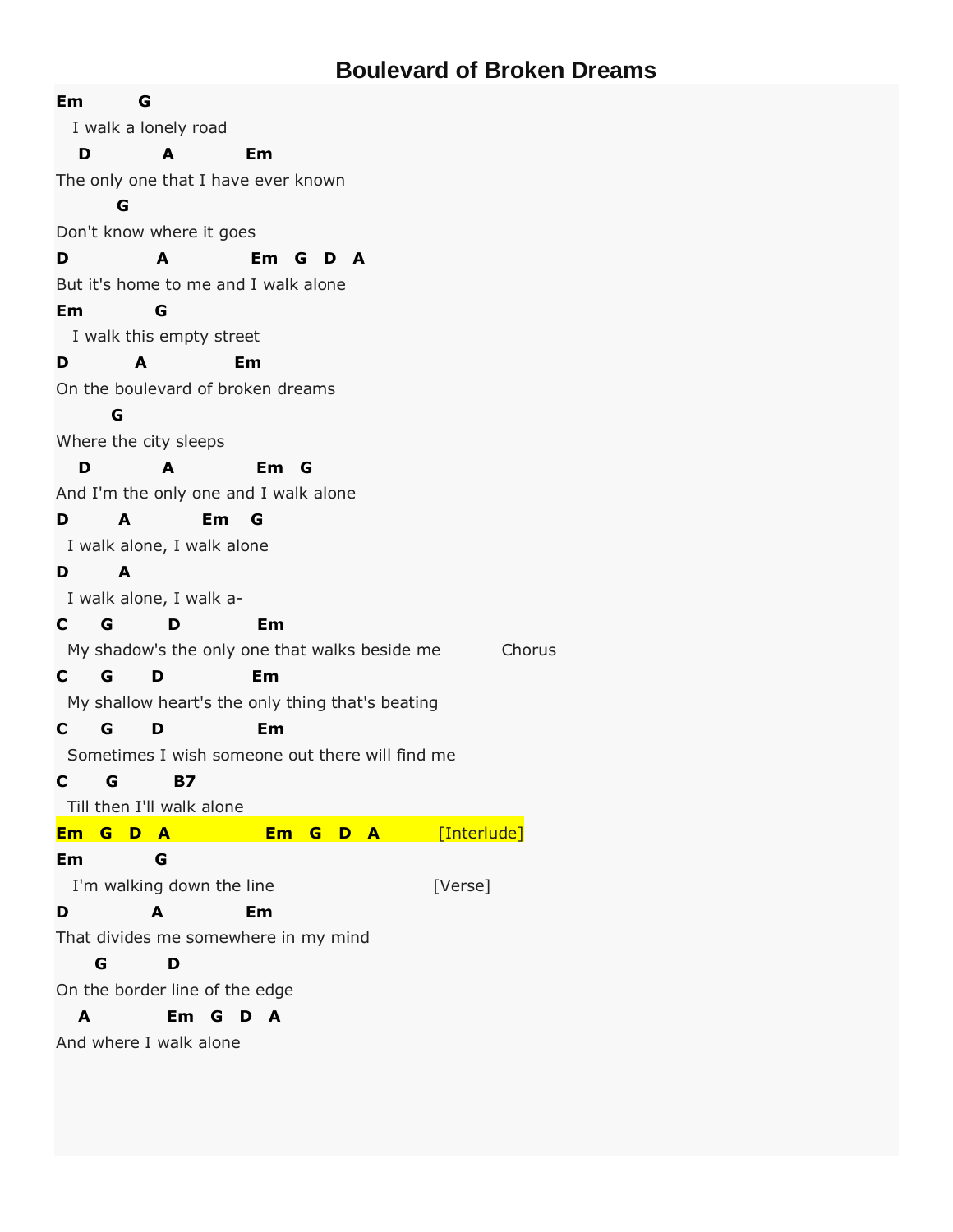## **Boulevard of Broken Dreams**

| Em<br>G                                                                                                             |                             |         |
|---------------------------------------------------------------------------------------------------------------------|-----------------------------|---------|
| I walk a lonely road                                                                                                |                             |         |
| D<br>A                                                                                                              | Em                          |         |
| The only one that I have ever known                                                                                 |                             |         |
| G                                                                                                                   |                             |         |
| Don't know where it goes                                                                                            |                             |         |
| D<br>A                                                                                                              | Em G D A                    |         |
| But it's home to me and I walk alone                                                                                |                             |         |
| Em<br>G                                                                                                             |                             |         |
| I walk this empty street                                                                                            |                             |         |
| Em<br>D<br>A                                                                                                        |                             |         |
| On the boulevard of broken dreams                                                                                   |                             |         |
| G                                                                                                                   |                             |         |
| Where the city sleeps                                                                                               |                             |         |
| D<br>A                                                                                                              | Em G                        |         |
| And I'm the only one and I walk alone                                                                               |                             |         |
| D<br>A<br>$Em$ $G$                                                                                                  |                             |         |
| I walk alone, I walk alone                                                                                          |                             |         |
| D<br>A                                                                                                              |                             |         |
| I walk alone, I walk a-                                                                                             |                             |         |
| $C$ G<br>D                                                                                                          | Em                          |         |
| My shadow's the only one that walks beside me                                                                       |                             | Chorus  |
| $C$ G<br>D                                                                                                          | Em                          |         |
| My shallow heart's the only thing that's beating                                                                    |                             |         |
| $C$ G<br>D                                                                                                          | Em                          |         |
| Sometimes I wish someone out there will find me                                                                     |                             |         |
| C G B7                                                                                                              |                             |         |
| Till then I'll walk alone                                                                                           |                             |         |
| Em G D A Contract Contract Contract Contract Contract Contract Contract Contract Contract Contract Contract Co      | <b>Em G D A</b> [Interlude] |         |
| Em to the set of the set of the set of the set of the set of the set of the set of the set of the set of the s<br>G |                             |         |
| I'm walking down the line                                                                                           |                             | [Verse] |
| A<br>D                                                                                                              | Em                          |         |
| That divides me somewhere in my mind                                                                                |                             |         |
| G<br>D                                                                                                              |                             |         |
| On the border line of the edge                                                                                      |                             |         |
| Em G D A<br>A                                                                                                       |                             |         |
| And where I walk alone                                                                                              |                             |         |
|                                                                                                                     |                             |         |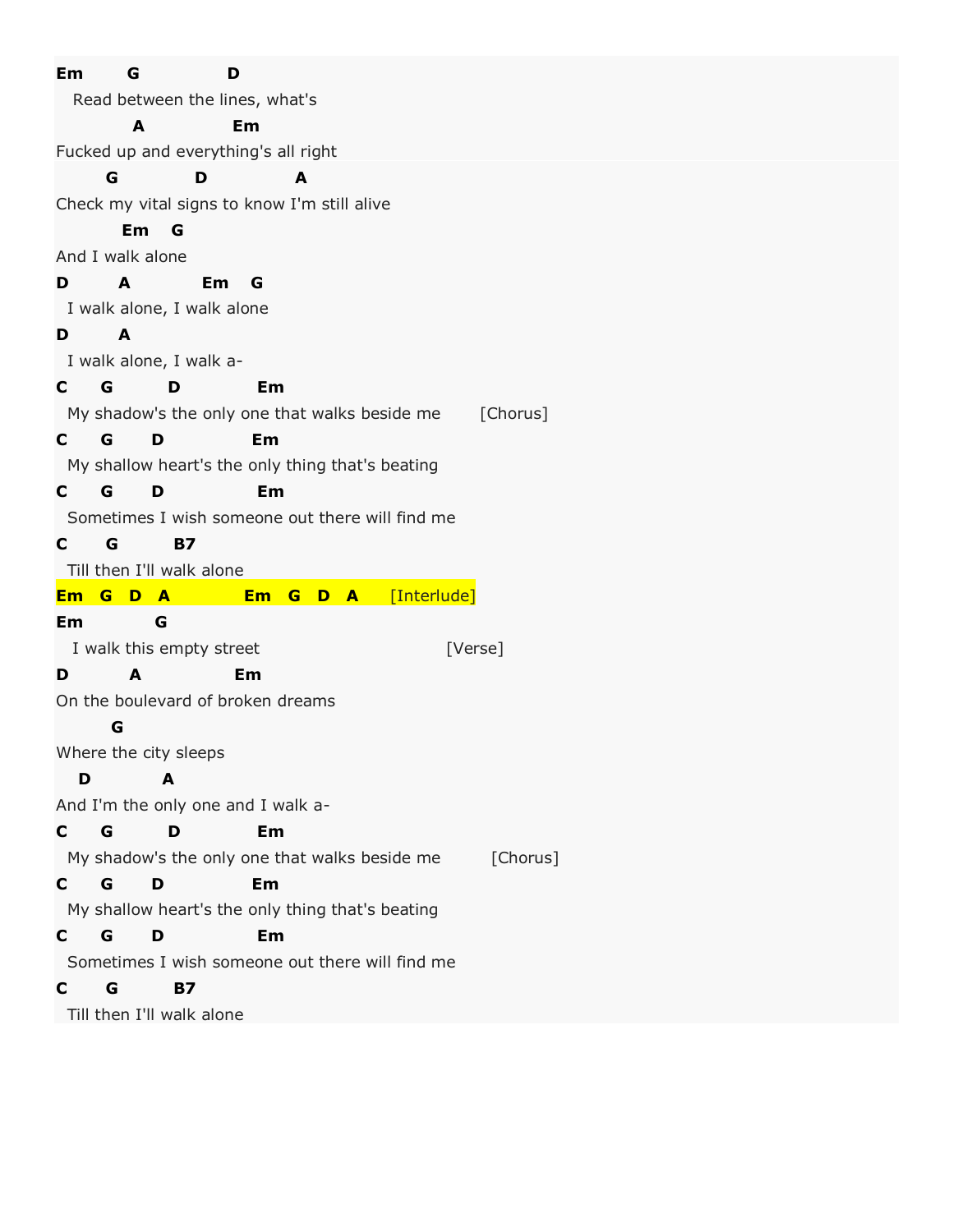| Em<br>G<br>D                                              |  |  |
|-----------------------------------------------------------|--|--|
| Read between the lines, what's                            |  |  |
| Em<br>A                                                   |  |  |
| Fucked up and everything's all right                      |  |  |
| G<br>A<br>D                                               |  |  |
| Check my vital signs to know I'm still alive              |  |  |
| Em G                                                      |  |  |
| And I walk alone                                          |  |  |
| A<br>Em<br>D<br>G                                         |  |  |
| I walk alone, I walk alone                                |  |  |
| D<br>A                                                    |  |  |
| I walk alone, I walk a-                                   |  |  |
| G<br>D<br>Em<br>$\mathbf{C}$                              |  |  |
| My shadow's the only one that walks beside me<br>[Chorus] |  |  |
| G<br>D<br>Em<br>C —                                       |  |  |
| My shallow heart's the only thing that's beating          |  |  |
| G<br>D<br>Em<br>$\mathbf{C}$                              |  |  |
| Sometimes I wish someone out there will find me           |  |  |
| G<br><b>B7</b><br>C                                       |  |  |
| Till then I'll walk alone                                 |  |  |
| [Interlude]<br>Em G D A<br>Em G D A                       |  |  |
| Em<br>G                                                   |  |  |
| I walk this empty street<br>[Verse]                       |  |  |
| Em<br>D<br>A                                              |  |  |
| On the boulevard of broken dreams                         |  |  |
| G                                                         |  |  |
| Where the city sleeps                                     |  |  |
| D<br>A                                                    |  |  |
| And I'm the only one and I walk a-                        |  |  |
| G<br>D<br>C<br>Em                                         |  |  |
| My shadow's the only one that walks beside me<br>[Chorus] |  |  |
| G<br>D<br>Em<br>$\mathbf{C}$                              |  |  |
| My shallow heart's the only thing that's beating          |  |  |
| G<br>D<br>Em<br>C                                         |  |  |
| Sometimes I wish someone out there will find me           |  |  |
| <b>B7</b><br>C                                            |  |  |
| G                                                         |  |  |
| Till then I'll walk alone                                 |  |  |